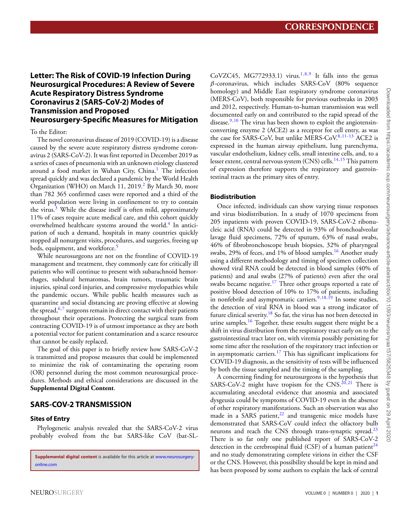# **Letter: The Risk of COVID-19 Infection During Neurosurgical Procedures: A Review of Severe Acute Respiratory Distress Syndrome Coronavirus 2 (SARS-CoV-2) Modes of Transmission and Proposed Neurosurgery-Specific Measures for Mitigation**

To the Editor:

The novel coronavirus disease of 2019 (COVID-19) is a disease caused by the severe acute respiratory distress syndrome coronavirus 2 (SARS-CoV-2). It was first reported in December 2019 as a series of cases of pneumonia with an unknown etiology clustered around a food market in Wuhan City, China.<sup>[1](#page-6-0)</sup> The infection spread quickly and was declared a pandemic by the World Health Organization (WHO) on March 11, 2019.<sup>2</sup> By March 30, more than 782 365 confirmed cases were reported and a third of the world population were living in confinement to try to contain the virus.<sup>[3](#page-6-2)</sup> While the disease itself is often mild, approximately 11% of cases require acute medical care, and this cohort quickly overwhelmed healthcare systems around the world.<sup>[4](#page-6-3)</sup> In anticipation of such a demand, hospitals in many countries quickly stopped all nonurgent visits, procedures, and surgeries, freeing up beds, equipment, and workforce.<sup>[5](#page-6-4)</sup>

While neurosurgeons are not on the frontline of COVID-19 management and treatment, they commonly care for critically ill patients who will continue to present with subarachnoid hemorrhages, subdural hematomas, brain tumors, traumatic brain injuries, spinal cord injuries, and compressive myelopathies while the pandemic occurs. While public health measures such as quarantine and social distancing are proving effective at slowing the spread,  $6.7$  $6.7$  surgeons remain in direct contact with their patients throughout their operations. Protecting the surgical team from contracting COVID-19 is of utmost importance as they are both a potential vector for patient contamination and a scarce resource that cannot be easily replaced.

The goal of this paper is to briefly review how SARS-CoV-2 is transmitted and propose measures that could be implemented to minimize the risk of contaminating the operating room (OR) personnel during the most common neurosurgical procedures. Methods and ethical considerations are discussed in the **Supplemental Digital Content**.

# **SARS-COV-2 TRANSMISSION**

## **Sites of Entry**

Phylogenetic analysis revealed that the SARS-CoV-2 virus probably evolved from the bat SARS-like CoV (bat-SL-

**Supplemental digital content** is available for this article at [www.neurosurgery](file:www.neurosurgery-online.com)[online.com](file:www.neurosurgery-online.com)

CoVZC45, MG772933.1) virus.<sup>1,[8](#page-6-7)[,9](#page-6-8)</sup> It falls into the genus  $\beta$ -coronavirus, which includes SARS-CoV (80% sequence homology) and Middle East respiratory syndrome coronavirus (MERS-CoV), both responsible for previous outbreaks in 2003 and 2012, respectively. Human-to-human transmission was well documented early on and contributed to the rapid spread of the disease.<sup>[9,](#page-6-8)[10](#page-6-9)</sup> The virus has been shown to exploit the angiotensinconverting enzyme 2 (ACE2) as a receptor for cell entry, as was the case for SARS-CoV, but unlike MERS-CoV.<sup>[8,](#page-6-7)[11-](#page-6-10)[13](#page-6-11)</sup> ACE2 is expressed in the human airway epithelium, lung parenchyma, vascular endothelium, kidney cells, small intestine cells, and, to a lesser extent, central nervous system (CNS) cells.<sup>14,[15](#page-6-13)</sup> This pattern of expression therefore supports the respiratory and gastrointestinal tracts as the primary sites of entry.

## **Biodistribution**

Once infected, individuals can show varying tissue responses and virus biodistribution. In a study of 1070 specimens from 205 inpatients with proven COVID-19, SARS-CoV-2 ribonucleic acid (RNA) could be detected in 93% of bronchoalveolar lavage fluid specimens, 72% of sputum, 63% of nasal swabs, 46% of fibrobronchoscope brush biopsies, 32% of pharyngeal swabs, 29% of feces, and 1% of blood samples.<sup>16</sup> Another study using a different methodology and timing of specimen collection showed viral RNA could be detected in blood samples (40% of patients) and anal swabs (27% of patients) even after the oral swabs became negative.<sup>[17](#page-6-15)</sup> Three other groups reported a rate of positive blood detection of 10% to 17% of patients, including in nonfebrile and asymptomatic carriers.<sup>[9,](#page-6-8)[18,](#page-6-16)[19](#page-6-17)</sup> In some studies, the detection of viral RNA in blood was a strong indicator of future clinical severity.<sup>18</sup> So far, the virus has not been detected in urine samples.<sup>[16](#page-6-14)</sup> Together, these results suggest there might be a shift in virus distribution from the respiratory tract early on to the gastrointestinal tract later on, with viremia possibly persisting for some time after the resolution of the respiratory tract infection or in asymptomatic carriers.<sup>[17](#page-6-15)</sup> This has significant implications for COVID-19 diagnosis, as the sensitivity of tests will be influenced by both the tissue sampled and the timing of the sampling.

A concerning finding for neurosurgeons is the hypothesis that SARS-CoV-2 might have tropism for the CNS. $^{20,21}$  $^{20,21}$  $^{20,21}$  $^{20,21}$  There is accumulating anecdotal evidence that anosmia and associated dysgeusia could be symptoms of COVID-19 even in the absence of other respiratory manifestations. Such an observation was also made in a SARS patient, $22$  and transgenic mice models have demonstrated that SARS-CoV could infect the olfactory bulb neurons and reach the CNS through trans-synaptic spread.<sup>23</sup> There is so far only one published report of SARS-CoV-2 detection in the cerebrospinal fluid (CSF) of a human patient<sup>24</sup> and no study demonstrating complete virions in either the CSF or the CNS. However, this possibility should be kept in mind and has been proposed by some authors to explain the lack of central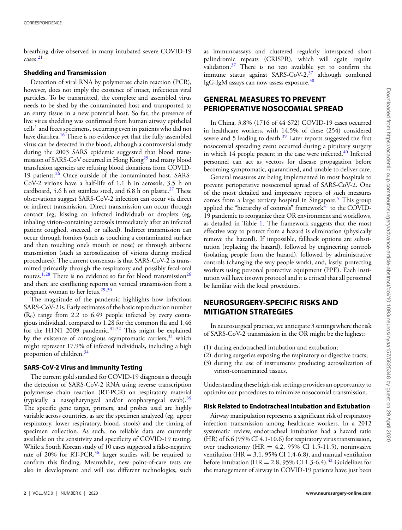breathing drive observed in many intubated severe COVID-19 cases[.21](#page-6-19)

#### **Shedding and Transmission**

Detection of viral RNA by polymerase chain reaction (PCR), however, does not imply the existence of intact, infectious viral particles. To be transmitted, the complete and assembled virus needs to be shed by the contaminated host and transported to an entry tissue in a new potential host. So far, the presence of live virus shedding was confirmed from human airway epithelial  $\text{cells}^1$  $\text{cells}^1$  and feces specimens, occurring even in patients who did not have diarrhea.<sup>[16](#page-6-14)</sup> There is no evidence yet that the fully assembled virus can be detected in the blood, although a controversial study during the 2003 SARS epidemic suggested that blood transmission of SARS-CoV occurred in Hong Kong<sup>25</sup> and many blood transfusion agencies are refusing blood donations from COVID-19 patients.[26](#page-6-24) Once outside of the contaminated host, SARS-CoV-2 virions have a half-life of 1.1 h in aerosols, 3.5 h on cardboard, 5.6 h on stainless steel, and 6.8 h on plastic.<sup>27</sup> These observations suggest SARS-CoV-2 infection can occur via direct or indirect transmission. Direct transmission can occur through contact (eg, kissing an infected individual) or droplets (eg, inhaling virion-containing aerosols immediately after an infected patient coughed, sneezed, or talked). Indirect transmission can occur through fomites (such as touching a contaminated surface and then touching one's mouth or nose) or through airborne transmission (such as aerosolization of virions during medical procedures). The current consensus is that SARS-CoV-2 is transmitted primarily through the respiratory and possibly fecal-oral routes.<sup>1,[28](#page-6-26)</sup> There is no evidence so far for blood transmission<sup>[26](#page-6-24)</sup> and there are conflicting reports on vertical transmission from a pregnant woman to her fetus.<sup>29[,30](#page-7-0)</sup>

The magnitude of the pandemic highlights how infectious SARS-CoV-2 is. Early estimates of the basic reproduction number  $(R_0)$  range from 2.2 to 6.49 people infected by every contagious individual, compared to 1.28 for the common flu and 1.46 for the H1N1 2009 pandemic.<sup>[31,](#page-7-1)[32](#page-7-2)</sup> This might be explained by the existence of contagious asymptomatic carriers,  $33$  which might represent 17.9% of infected individuals, including a high proportion of children.<sup>34</sup>

#### **SARS-CoV-2 Virus and Immunity Testing**

The current gold standard for COVID-19 diagnosis is through the detection of SARS-CoV-2 RNA using reverse transcription polymerase chain reaction (RT-PCR) on respiratory material (typically a nasopharyngeal and/or oropharyngeal swab).[35](#page-7-5) The specific gene target, primers, and probes used are highly variable across countries, as are the specimen analyzed (eg, upper respiratory, lower respiratory, blood, stools) and the timing of specimen collection. As such, no reliable data are currently available on the sensitivity and specificity of COVID-19 testing. While a South Korean study of 10 cases suggested a false-negative rate of 20% for RT-PCR,<sup>[36](#page-7-6)</sup> larger studies will be required to confirm this finding. Meanwhile, new point-of-care tests are also in development and will use different technologies, such as immunoassays and clustered regularly interspaced short palindromic repeats (CRISPR), which will again require validation.<sup>[37](#page-7-7)</sup> There is no test available yet to confirm the immune status against SARS-CoV-2, $37$  although combined IgG-IgM assays can now assess exposure[.38](#page-7-8)

# **GENERAL MEASURES TO PREVENT PERIOPERATIVE NOSOCOMIAL SPREAD**

In China, 3.8% (1716 of 44 672) COVID-19 cases occurred in healthcare workers, with 14.5% of these (254) considered severe and 5 leading to death. $39$  Later reports suggested the first nosocomial spreading event occurred during a pituitary surgery in which  $14$  people present in the case were infected.<sup>40</sup> Infected personnel can act as vectors for disease propagation before becoming symptomatic, quarantined, and unable to deliver care.

General measures are being implemented in most hospitals to prevent perioperative nosocomial spread of SARS-CoV-2. One of the most detailed and impressive reports of such measures comes from a large tertiary hospital in Singapore.<sup>[5](#page-6-4)</sup> This group applied the "hierarchy of controls" framework $^{41}$  $^{41}$  $^{41}$  to the COVID-19 pandemic to reorganize their OR environment and workflows, as detailed in Table [1.](#page-2-0) The framework suggests that the most effective way to protect from a hazard is elimination (physically remove the hazard). If impossible, fallback options are substitution (replacing the hazard), followed by engineering controls (isolating people from the hazard), followed by administrative controls (changing the way people work), and, lastly, protecting workers using personal protective equipment (PPE). Each institution will have its own protocol and it is critical that all personnel be familiar with the local procedures.

# **NEUROSURGERY-SPECIFIC RISKS AND MITIGATION STRATEGIES**

In neurosurgical practice, we anticipate 3 settings where the risk of SARS-CoV-2 transmission in the OR might be the highest:

- (1) during endotracheal intubation and extubation;
- (2) during surgeries exposing the respiratory or digestive tracts;
- (3) during the use of instruments producing aerosolization of virion-contaminated tissues.

Understanding these high-risk settings provides an opportunity to optimize our procedures to minimize nosocomial transmission.

### **Risk Related to Endotracheal Intubation and Extubation**

Airway manipulation represents a significant risk of respiratory infection transmission among healthcare workers. In a 2012 systematic review, endotracheal intubation had a hazard ratio (HR) of 6.6 (95% CI 4.1-10.6) for respiratory virus transmission, over tracheotomy (HR =  $4.2$ , 95% CI 1.5-11.5), noninvasive ventilation (HR =  $3.1$ , 95% CI 1.4-6.8), and manual ventilation before intubation (HR = 2.8, 95% CI 1.3-6.4).<sup>[42](#page-7-12)</sup> Guidelines for the management of airway in COVID-19 patients have just been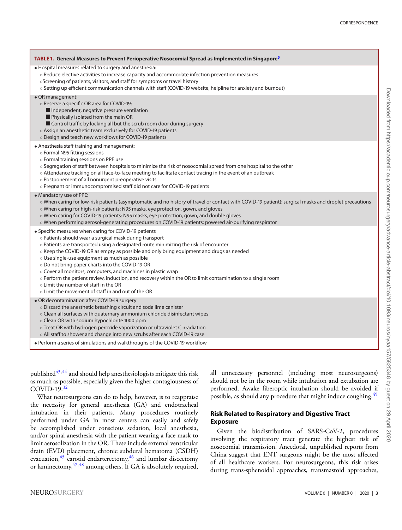<span id="page-2-0"></span>

| TABLE 1. General Measures to Prevent Perioperative Nosocomial Spread as Implemented in Singapore <sup>5</sup>                                                                                                                                                                                                                                                                                                                                                                                                                                                                                                                                                                             |
|-------------------------------------------------------------------------------------------------------------------------------------------------------------------------------------------------------------------------------------------------------------------------------------------------------------------------------------------------------------------------------------------------------------------------------------------------------------------------------------------------------------------------------------------------------------------------------------------------------------------------------------------------------------------------------------------|
| · Hospital measures related to surgery and anesthesia:<br>o Reduce elective activities to increase capacity and accommodate infection prevention measures<br>oScreening of patients, visitors, and staff for symptoms or travel history<br>o Setting up efficient communication channels with staff (COVID-19 website, helpline for anxiety and burnout)                                                                                                                                                                                                                                                                                                                                  |
| • OR management:<br>o Reserve a specific OR area for COVID-19:<br>Independent, negative pressure ventilation<br>Physically isolated from the main OR<br>Control traffic by locking all but the scrub room door during surgery<br>o Assign an anesthetic team exclusively for COVID-19 patients<br>o Design and teach new workflows for COVID-19 patients                                                                                                                                                                                                                                                                                                                                  |
| • Anesthesia staff training and management:<br>o Formal N95 fitting sessions<br>o Formal training sessions on PPE use<br>o Segregation of staff between hospitals to minimize the risk of nosocomial spread from one hospital to the other<br>o Attendance tracking on all face-to-face meeting to facilitate contact tracing in the event of an outbreak<br>o Postponement of all nonurgent preoperative visits<br>o Pregnant or immunocompromised staff did not care for COVID-19 patients                                                                                                                                                                                              |
| • Mandatory use of PPE:<br>o When caring for low-risk patients (asymptomatic and no history of travel or contact with COVID-19 patient): surgical masks and droplet precautions<br>o When caring for high-risk patients: N95 masks, eye protection, gown, and gloves<br>o When caring for COVID-19 patients: N95 masks, eye protection, gown, and double gloves<br>o When performing aerosol-generating procedures on COVID-19 patients: powered air-purifying respirator                                                                                                                                                                                                                 |
| • Specific measures when caring for COVID-19 patients<br>o Patients should wear a surgical mask during transport<br>o Patients are transported using a designated route minimizing the risk of encounter<br>o Keep the COVID-19 OR as empty as possible and only bring equipment and drugs as needed<br>o Use single-use equipment as much as possible<br>o Do not bring paper charts into the COVID-19 OR<br>o Cover all monitors, computers, and machines in plastic wrap<br>o Perform the patient review, induction, and recovery within the OR to limit contamination to a single room<br>○ Limit the number of staff in the OR<br>○ Limit the movement of staff in and out of the OR |
| • OR decontamination after COVID-19 surgery<br>o Discard the anesthetic breathing circuit and soda lime canister<br>o Clean all surfaces with quaternary ammonium chloride disinfectant wipes<br>o Clean OR with sodium hypochlorite 1000 ppm<br>o Treat OR with hydrogen peroxide vaporization or ultraviolet C irradiation<br>o All staff to shower and change into new scrubs after each COVID-19 case                                                                                                                                                                                                                                                                                 |

• Perform a series of simulations and walkthroughs of the COVID-19 workflow

published $43,44$  $43,44$  and should help anesthesiologists mitigate this risk as much as possible, especially given the higher contagiousness of COVID-19.[32](#page-7-2)

What neurosurgeons can do to help, however, is to reappraise the necessity for general anesthesia (GA) and endotracheal intubation in their patients. Many procedures routinely performed under GA in most centers can easily and safely be accomplished under conscious sedation, local anesthesia, and/or spinal anesthesia with the patient wearing a face mask to limit aerosolization in the OR. These include external ventricular drain (EVD) placement, chronic subdural hematoma (CSDH) evacuation, $45$  carotid endarterectomy, $46$  and lumbar discectomy or laminectomy,  $47,48$  $47,48$  among others. If GA is absolutely required,

all unnecessary personnel (including most neurosurgeons) should not be in the room while intubation and extubation are performed. Awake fiberoptic intubation should be avoided if possible, as should any procedure that might induce coughing.<sup>[49](#page-7-19)</sup>

## **Risk Related to Respiratory and Digestive Tract Exposure**

Given the biodistribution of SARS-CoV-2, procedures involving the respiratory tract generate the highest risk of nosocomial transmission. Anecdotal, unpublished reports from China suggest that ENT surgeons might be the most affected of all healthcare workers. For neurosurgeons, this risk arises during trans-sphenoidal approaches, transmastoid approaches,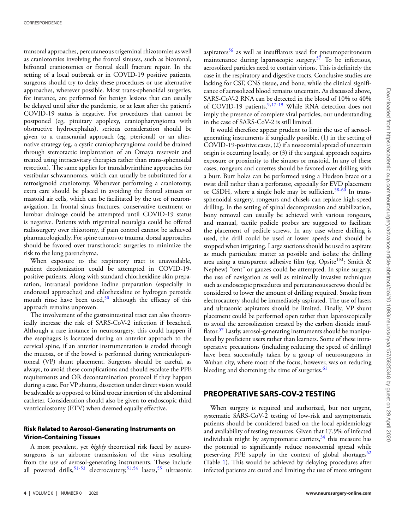transoral approaches, percutaneous trigeminal rhizotomies as well as craniotomies involving the frontal sinuses, such as bicoronal, bifrontal craniotomies or frontal skull fracture repair. In the setting of a local outbreak or in COVID-19 positive patients, surgeons should try to delay these procedures or use alternative approaches, wherever possible. Most trans-sphenoidal surgeries, for instance, are performed for benign lesions that can usually be delayed until after the pandemic, or at least after the patient's COVID-19 status is negative. For procedures that cannot be postponed (eg, pituitary apoplexy, craniopharyngioma with obstructive hydrocephalus), serious consideration should be given to a transcranial approach (eg, pterional) or an alternative strategy (eg, a cystic craniopharyngioma could be drained through stereotactic implantation of an Omaya reservoir and treated using intracavitary therapies rather than trans-sphenoidal resection). The same applies for translabyrinthine approaches for vestibular schwannomas, which can usually be substituted for a retrosigmoid craniotomy. Whenever performing a craniotomy, extra care should be placed in avoiding the frontal sinuses or mastoid air cells, which can be facilitated by the use of neuronavigation. In frontal sinus fractures, conservative treatment or lumbar drainage could be attempted until COVID-19 status is negative. Patients with trigeminal neuralgia could be offered radiosurgery over rhizotomy, if pain control cannot be achieved pharmacologically. For spine tumors or trauma, dorsal approaches should be favored over transthoracic surgeries to minimize the risk to the lung parenchyma.

When exposure to the respiratory tract is unavoidable, patient decolonization could be attempted in COVID-19 positive patients. Along with standard chlorhexidine skin preparation, intranasal povidone iodine preparation (especially in endonasal approaches) and chlorhexidine or hydrogen peroxide mouth rinse have been used,<sup>50</sup> although the efficacy of this approach remains unproven.

The involvement of the gastrointestinal tract can also theoretically increase the risk of SARS-CoV-2 infection if breached. Although a rare instance in neurosurgery, this could happen if the esophagus is lacerated during an anterior approach to the cervical spine, if an anterior instrumentation is eroded through the mucosa, or if the bowel is perforated during ventriculoperitoneal (VP) shunt placement. Surgeons should be careful, as always, to avoid these complications and should escalate the PPE requirements and OR decontamination protocol if they happen during a case. For VP shunts, dissection under direct vision would be advisable as opposed to blind trocar insertion of the abdominal catheter. Consideration should also be given to endoscopic third ventriculostomy (ETV) when deemed equally effective.

### **Risk Related to Aerosol-Generating Instruments on Virion-Containing Tissues**

A most prevalent, yet *highly* theoretical risk faced by neurosurgeons is an airborne transmission of the virus resulting from the use of aerosol-generating instruments. These include all powered drills, [51](#page-7-21)[-53](#page-7-22) electrocautery, 51, [54](#page-7-23) lasers, [55](#page-7-24) ultrasonic

aspirators<sup>56</sup> as well as insufflators used for pneumoperitoneum maintenance during laparoscopic surgery[.57](#page-7-26) To be infectious, aerosolized particles need to contain virions. This is definitely the case in the respiratory and digestive tracts. Conclusive studies are lacking for CSF, CNS tissue, and bone, while the clinical significance of aerosolized blood remains uncertain. As discussed above, SARS-CoV-2 RNA can be detected in the blood of 10% to 40% of COVID-19 patients.<sup>9[,17-](#page-6-15)[19](#page-6-17)</sup> While RNA detection does not imply the presence of complete viral particles, our understanding in the case of SARS-CoV-2 is still limited.

It would therefore appear prudent to limit the use of aerosolgenerating instruments if surgically possible, (1) in the setting of COVID-19-positive cases, (2) if a nosocomial spread of uncertain origin is occurring locally, or (3) if the surgical approach requires exposure or proximity to the sinuses or mastoid. In any of these cases, rongeurs and curettes should be favored over drilling with a burr. Burr holes can be performed using a Hudson brace or a twist drill rather than a perforator, especially for EVD placement or CSDH, where a single hole may be sufficient.<sup>58-[60](#page-7-28)</sup> In transsphenoidal surgery, rongeurs and chisels can replace high-speed drilling. In the setting of spinal decompression and stabilization, bony removal can usually be achieved with various rongeurs, and manual, tactile pedicle probes are suggested to facilitate the placement of pedicle screws. In any case where drilling is used, the drill could be used at lower speeds and should be stopped when irrigating. Large suctions should be used to aspirate as much particulate matter as possible and isolate the drilling area using a transparent adhesive film (eg, Opsite<sup>TM</sup>; Smith & Nephew) "tent" or gauzes could be attempted. In spine surgery, the use of navigation as well as minimally invasive techniques such as endoscopic procedures and percutaneous screws should be considered to lower the amount of drilling required. Smoke from electrocautery should be immediately aspirated. The use of lasers and ultrasonic aspirators should be limited. Finally, VP shunt placement could be performed open rather than laparoscopically to avoid the aerosolization created by the carbon dioxide insuf-flator.<sup>[57](#page-7-26)</sup> Lastly, aerosol-generating instruments should be manipulated by proficient users rather than learners. Some of these intraoperative precautions (including reducing the speed of drilling) have been successfully taken by a group of neurosurgeons in Wuhan city, where most of the focus, however, was on reducing bleeding and shortening the time o[f](#page-4-0) surgeries.<sup>[61](#page-7-29)</sup>

# **PREOPERATIVE SARS-COV-2 TESTING**

When surgery is required and authorized, but not urgent, systematic SARS-CoV-2 testing of low-risk and asymptomatic patients should be considered based on the local epidemiology and availability of testing resources. Given that 17.9% of infected individuals might by asymptomatic carriers,  $34$  this measure has the potential to significantly reduce nosocomial spread while preserving PPE supply in the context of global shortages<sup>62</sup> (Table [1\)](#page-2-0). This would be achieved by delaying procedures after infected patients are cured and limiting the use of more stringent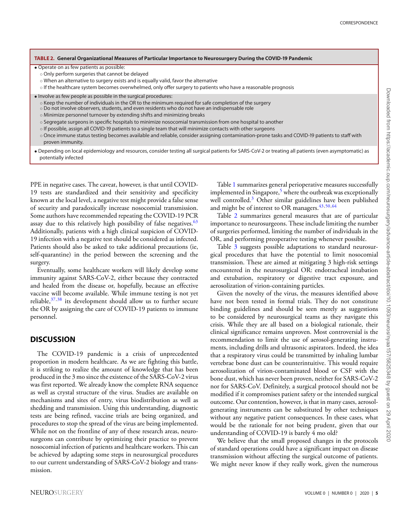#### <span id="page-4-0"></span>**TABLE 2. General Organizational Measures of Particular Importance to Neurosurgery During the COVID-19 Pandemic**

• Operate on as few patients as possible:

- Only perform surgeries that cannot be delayed
- When an alternative to surgery exists and is equally valid, favor the alternative
- If the healthcare system becomes overwhelmed, only offer surgery to patients who have a reasonable prognosis
- Involve as few people as possible in the surgical procedures:
	- Keep the number of individuals in the OR to the minimum required for safe completion of the surgery
	- Do not involve observers, students, and even residents who do not have an indispensable role
	- Minimize personnel turnover by extending shifts and minimizing breaks
	- Segregate surgeons in specific hospitals to minimize nosocomial transmission from one hospital to another
	- If possible, assign all COVID-19 patients to a single team that will minimize contacts with other surgeons
	- Once immune status testing becomes available and reliable, consider assigning contamination-prone tasks and COVID-19 patients to staff with proven immunity.
- Depending on local epidemiology and resources, consider testing all surgical patients for SARS-CoV-2 or treating all patients (even asymptomatic) as potentially infected

PPE in negative cases. The caveat, however, is that until COVID-19 tests are standardized and their sensitivity and specificity known at the local level, a negative test might provide a false sense of security and paradoxically increase nosocomial transmission. Some authors have recommended repeating the COVID-19 PCR assay due to this relatively high possibility of false negatives.<sup>63</sup> Additionally, patients with a high clinical suspicion of COVID-19 infection with a negative test should be considered as infected. Patients should also be asked to take additional precautions (ie, self-quarantine) in the period between the screening and the surgery.

Eventually, some healthcare workers will likely develop some immunity against SARS-CoV-2, either because they contracted and healed from the disease or, hopefully, because an effective vaccine will become available. While immune testing is not yet reliable,  $37,38$  $37,38$  its development should allow us to further secure the OR by assigning the care of COVID-19 patients to immune personnel.

## **DISCUSSION**

The COVID-19 pandemic is a crisis of unprecedented proportion in modern healthcare. As we are fighting this battle, it is striking to realize the amount of knowledge that has been produced in the 3 mo since the existence of the SARS-CoV-2 virus was first reported. We already know the complete RNA sequence as well as crystal structure of the virus. Studies are available on mechanisms and sites of entry, virus biodistribution as well as shedding and transmission. Using this understanding, diagnostic tests are being refined, vaccine trials are being organized, and procedures to stop the spread of the virus are being implemented. While not on the frontline of any of these research areas, neurosurgeons can contribute by optimizing their practice to prevent nosocomial infection of patients and healthcare workers. This can be achieved by adapting some steps in neurosurgical procedures to our current understanding of SARS-CoV-2 biology and transmission.

Table [1](#page-2-0) summarizes general perioperative measures successfully implemented in Singapore, $5$  where the outbreak was exceptionally well controlled.<sup>[3](#page-6-2)</sup> Other similar guidelines have been published and might be of interest to OR managers.<sup>43,[50,](#page-7-20)[64](#page-7-32)</sup>

Table [2](#page-4-0) summarizes general measures that are of particular importance to neurosurgeons. These include limiting the number of surgeries performed, limiting the number of individuals in the OR, and performing preoperative testing whenever possible.

Table [3](#page-5-0) suggests possible adaptations to standard neurosurgical procedures that have the potential to limit nosocomial transmission. These are aimed at mitigating 3 high-risk settings encountered in the neurosurgical OR: endotracheal intubation and extubation, respiratory or digestive tract exposure, and aerosolization of virion-containing particles.

Given the novelty of the virus, the measures identified above have not been tested in formal trials. They do not constitute binding guidelines and should be seen merely as suggestions to be considered by neurosurgical teams as they navigate this crisis. While they are all based on a biological rationale, their clinical significance remains unproven. Most controversial is the recommendation to limit the use of aerosol-generating instruments, including drills and ultrasonic aspirators. Indeed, the idea that a respiratory virus could be transmitted by inhaling lumbar vertebrae bone dust can be counterintuitive. This would require aerosolization of virion-contaminated blood or CSF with the bone dust, which has never been proven, neither for SARS-CoV-2 nor for SARS-CoV. Definitely, a surgical protocol should not be modified if it compromises patient safety or the intended surgical outcome. Our contention, however, is that in many cases, aerosolgenerating instruments can be substituted by other techniques without any negative patient consequences. In these cases, what would be the rationale for not being prudent, given that our understanding of COVID-19 is barely 4 mo old?

We believe that the small proposed changes in the protocols of standard operations could have a significant impact on disease transmission without affecting the surgical outcome of patients. We might never know if they really work, given the numerous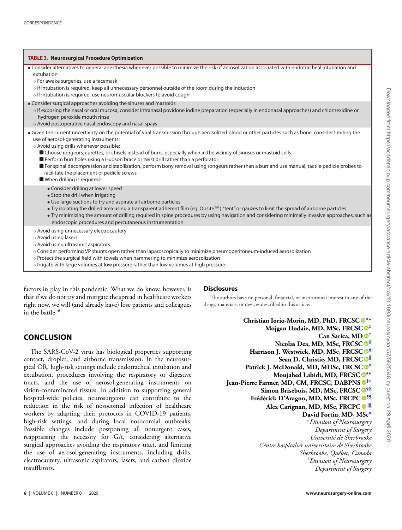<span id="page-5-0"></span>

◦ Irrigate with large volumes at low pressure rather than low volumes at high pressure

factors in play in this pandemic. What we do know, however, is that if we do not try and mitigate the spread in healthcare workers right now, we will (and already have) lose patients and colleagues in the battle. $40$ 

## **CONCLUSION**

The SARS-CoV-2 virus has biological properties supporting contact, droplet, and airborne transmission. In the neurosurgical OR, high-risk settings include endotracheal intubation and extubation, procedures involving the respiratory or digestive tracts, and the use of aerosol-generating instruments on virion-contaminated tissues. In addition to supporting general hospital-wide policies, neurosurgeons can contribute to the reduction in the risk of nosocomial infection of healthcare workers by adapting their protocols in COVID-19 patients, high-risk settings, and during local nosocomial outbreaks. Possible changes include postponing all nonurgent cases, reappraising the necessity for GA, considering alternative surgical approaches avoiding the respiratory tract, and limiting the use of aerosol-generating instruments, including drills, electrocautery, ultrasonic aspirators, lasers, and carbon dioxide insufflators.

#### The authors have no personal, financial, or institutional interest in any of the drugs, materials, or devices described in this article.

**Disclosures**

<span id="page-5-2"></span><span id="page-5-1"></span>**Christian Iorio-Morin, MD, PhD, FRCSC [∗](#page-5-1) [‡](#page-5-2) Mojgan Hodaie, MD, MSc, FRCSC [‡](#page-5-2) Can Sarica, MD [‡](#page-5-2) Nicolas Dea, MD, MSc, FRCSC [§](#page-6-28) Harrison J. Westwick, MD, MSc, FRCSC [¶](#page-6-29) Sean D. Christie, MD, FRCSC [||](#page-6-30) Patrick J. McDonald, MD, MHSc, FRCSC Moujahed Labidi, MD, FRCSC [∗∗](#page-6-32) Jean-Pierre Farmer, MD, CM, FRCSC, DABPNS [‡‡](#page-6-33) Simon Brisebois, MD, MSc, FRCSC [§§](#page-6-34) Frédérick D'Aragon, MD, MSc, FRCPC [¶¶](#page-6-35) Alex Carignan, MD, MSc, FRCPC [||||](#page-6-36) David Fortin, MD, MSc[∗](#page-5-1)** <sup>∗</sup>*Division of Neurosurgery Department of Surgery Université de Sherbrooke Centre hospitalier universitaire de Sherbrooke Sherbrooke, Québec, Canada ‡Division of Neurosurgery Department of Surgery*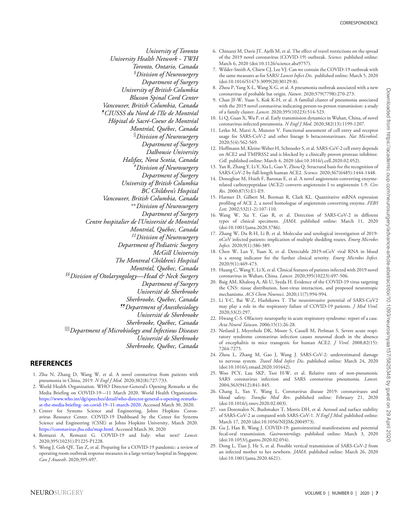<span id="page-6-29"></span><span id="page-6-28"></span>*University of Toronto University Health Network - TWH Toronto, Ontario, Canada §Division of Neurosurgery Department of Surgery University of British Columbia Blusson Spinal Cord Center Vancouver, British Columbia, Canada ¶CIUSSS du Nord de l'Ile de Montréal Hôpital de Sacré-Coeur de Montréal Montréal, Québec, Canada ||Division of Neurosurgery Department of Surgery Dalhousie University Halifax, Nova Scotia, Canada #Division of Neurosurgery Department of Surgery University of British Columbia BC Children's Hospital Vancouver, British Columbia, Canada* ∗∗*Division of Neurosurgery Department of Surgery Centre hospitalier de l'Université de Montréal Montréal, Québec, Canada ‡‡Division of Neurosurgery Department of Pediatric Surgery McGill University The Montreal Children's Hospital Montréal, Québec, Canada §§Division of Otolaryngology—Head & Neck Surgery Department of Surgery Université de Sherbrooke Sherbrooke, Québec, Canada ¶¶Department of Anesthesiology Université de Sherbrooke Sherbrooke, Québec, Canada ||||Department of Microbiology and Infectious Diseases Université de Sherbrooke Sherbrooke, Québec, Canada*

### <span id="page-6-36"></span><span id="page-6-34"></span>**REFERENCES**

- <span id="page-6-0"></span>1. Zhu N, Zhang D, Wang W, et al. A novel coronavirus from patients with pneumonia in China, 2019. *N Engl J Med*. 2020;382(8):727-733.
- <span id="page-6-1"></span>2. World Health Organization. WHO Director-General's Opening Remarks at the Media Briefing on COVID-19—11 March 2020. World Health Organization. [https://www.who.int/dg/speeches/detail/who-director-general-s-opening-remarks](https://www.who.int/dg/speeches/detail/who-director-general-s-opening-remarks-at-the-media-briefing- on-covid-19--11-march-2020)[at-the-media-briefing- on-covid-19–11-march-2020.](https://www.who.int/dg/speeches/detail/who-director-general-s-opening-remarks-at-the-media-briefing- on-covid-19--11-march-2020) Accessed March 30, 2020.
- <span id="page-6-2"></span>3. Center for Systems Science and Engineering, Johns Hopkins Coronavirus Resource Center. COVID-19 Dashboard by the Center for Systems Science and Engineering (CSSE) at Johns Hopkins University, March 2020. [https://coronavirus.jhu.edu/map.html.](https://coronavirus.jhu.edu/map.html) Accessed March 30, 2020
- <span id="page-6-3"></span>4. Remuzzi A, Remuzzi G. COVID-19 and Italy: what next? *Lancet*. 2020;395(10231):P1225-P1228.
- <span id="page-6-4"></span>5. Wong J, Goh QY, Tan Z, et al. Preparing for a COVID-19 pandemic: a review of operating room outbreak response measures in a large tertiary hospital in Singapore. *Can J Anaesth*. 2020;395:497.
- <span id="page-6-5"></span>6. Chinazzi M, Davis JT, Ajelli M, et al. The effect of travel restrictions on the spread of the 2019 novel coronavirus (COVID-19) outbreak. *Science*. published online: March 6, 2020 (doi:10.1126/science.aba9757).
- <span id="page-6-6"></span>7. Wilder-Smith A, Chiew CJ, Lee VJ. Can we contain the COVID-19 outbreak with the same measures as for SARS? *Lancet Infect Dis.* published online: March 5, 2020 (doi:10.1016/S1473-3099(20)30129-8).
- <span id="page-6-7"></span>8. Zhou P, Yang X-L, Wang X-G, et al. A pneumonia outbreak associated with a new coronavirus of probable bat origin. *Nature*. 2020;579(7798):270-273.
- <span id="page-6-8"></span>9. Chan JF-W, Yuan S, Kok K-H, et al. A familial cluster of pneumonia associated with the 2019 novel coronavirus indicating person-to-person transmission: a study of a family cluster. *Lancet*. 2020;395(10223):514-523.
- <span id="page-6-9"></span>10. Li Q, Guan X, Wu P, et al. Early transmission dynamics in Wuhan, China, of novel coronavirus-infected pneumonia. *N Engl J Med*. 2020;382(13):1199-1207.
- <span id="page-6-30"></span><span id="page-6-10"></span>11. Letko M, Marzi A, Munster V. Functional assessment of cell entry and receptor usage for SARS-CoV-2 and other lineage b betacoronaviruses. *Nat Microbiol*. 2020;5(4):562-569.
- 12. Hoffmann M, Kleine-Weber H, Schroeder S, et al. SARS-CoV-2 cell entry depends on ACE2 and TMPRSS2 and is blocked by a clinically proven protease inhibitor. *Cell.* published online: March 4, 2020 (doi:10.1016/j.cell.2020.02.052).
- <span id="page-6-31"></span><span id="page-6-11"></span>13. Yan R, Zhang Y, Li Y, Xia L, Guo Y, Zhou Q. Structural basis for the recognition of SARS-CoV-2 by full-length human ACE2. *Science*. 2020;367(6485):1444-1448.
- <span id="page-6-12"></span>14. Donoghue M, Hsieh F, Baronas E, et al. A novel angiotensin-converting enzymerelated carboxypeptidase (ACE2) converts angiotensin I to angiotensin 1-9. *Circ Res*. 2000;87(5):E1-E9.
- <span id="page-6-13"></span>15. Harmer D, Gilbert M, Borman R, Clark KL. Quantitative mRNA expression profiling of ACE 2, a novel homologue of angiotensin converting enzyme. *FEBS Lett*. 2002;532(1-2):107-110.
- <span id="page-6-32"></span><span id="page-6-14"></span>16. Wang W, Xu Y, Gao R, et al. Detection of SARS-CoV-2 in different types of clinical specimens. *JAMA*. published online: March 11, 2020 (doi:10.1001/jama.2020.3786).
- <span id="page-6-33"></span><span id="page-6-15"></span>17. Zhang W, Du R-H, Li B, et al. Molecular and serological investigation of 2019 nCoV infected patients: implication of multiple shedding routes. *Emerg Microbes Infect*. 2020;9(1):386-389.
- <span id="page-6-16"></span>18. Chen W, Lan Y, Yuan X, et al. Detectable 2019-nCoV viral RNA in blood is a strong indicator for the further clinical severity. *Emerg Microbes Infect*. 2020;9(1):469-473.
- <span id="page-6-17"></span>19. Huang C, Wang Y, Li X, et al. Clinical features of patients infected with 2019 novel coronavirus in Wuhan, China. *Lancet*. 2020;395(10223):497-506.
- <span id="page-6-18"></span>20. Baig AM, Khaleeq A, Ali U, Syeda H. Evidence of the COVID-19 virus targeting the CNS: tissue distribution, host-virus interaction, and proposed neurotropic mechanisms. *ACS Chem Neurosci*. 2020;11(7):994-994.
- <span id="page-6-19"></span>21. Li Y-C, Bai W-Z, Hashikawa T. The neuroinvasive potential of SARS-CoV2 may play a role in the respiratory failure of COVID-19 patients. *J Med Virol*. 2020;33(2):297.
- <span id="page-6-35"></span><span id="page-6-20"></span>22. Hwang C-S. Olfactory neuropathy in acute respiratory syndrome: report of a case. *Acta Neurol Taiwan*. 2006;15(1):26-28.
- <span id="page-6-21"></span>23. Netland J, Meyerholz DK, Moore S, Cassell M, Perlman S. Severe acute respiratory syndrome coronavirus infection causes neuronal death in the absence of encephalitis in mice transgenic for human ACE2. *J Virol*. 2008;82(15): 7264-7275.
- <span id="page-6-22"></span>24. Zhou L, Zhang M, Gao J, Wang J. SARS-CoV-2: underestimated damage to nervous system. *Travel Med Infect Dis*. published online: March 24, 2020 (doi:10.1016/j.tmaid.2020.101642).
- <span id="page-6-23"></span>25. Woo PCY, Lau SKP, Tsoi H-W, et al. Relative rates of non-pneumonic SARS coronavirus infection and SARS coronavirus pneumonia. *Lancet*. 2004;363(9412):841-845.
- <span id="page-6-24"></span>26. Chang L, Yan Y, Wang L. Coronavirus disease 2019: coronaviruses and blood safety. *Transfus Med Rev*. published online: February 21, 2020 (doi:10.1016/j.tmrv.2020.02.003).
- <span id="page-6-25"></span>27. van Doremalen N, Bushmaker T, Morris DH, et al. Aerosol and surface stability of SARS-CoV-2 as compared with SARS-CoV-1. *N Engl J Med*. published online: March 17, 2020 (doi:10.1056/NEJMc2004973).
- <span id="page-6-26"></span>28. Gu J, Han B, Wang J. COVID-19: gastrointestinal manifestations and potential fecal-oral transmission. *Gastroenterology*. published online: March 3, 2020 (doi:10.1053/j.gastro.2020.02.054).
- <span id="page-6-27"></span>29. Dong L, Tian J, He S, et al. Possible vertical transmission of SARS-CoV-2 from an infected mother to her newborn. *JAMA*. published online: March 26, 2020 (doi:10.1001/jama.2020.4621).